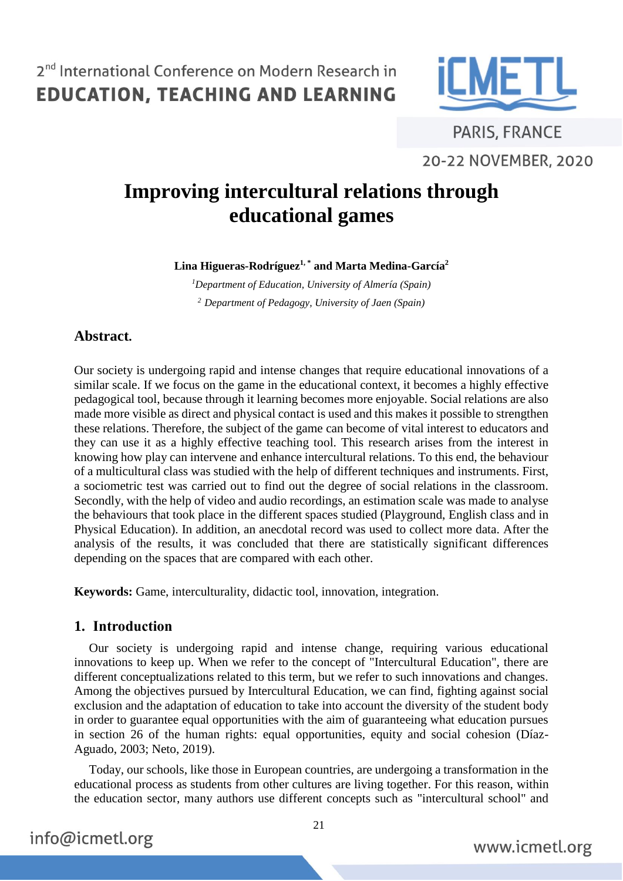

**PARIS, FRANCE** 20-22 NOVEMBER, 2020

# **Improving intercultural relations through educational games**

**Lina Higueras-Rodríguez1, \* and Marta Medina-García<sup>2</sup>**

*<sup>1</sup>Department of Education, University of Almería (Spain) <sup>2</sup> Department of Pedagogy, University of Jaen (Spain)*

### **Abstract.**

Our society is undergoing rapid and intense changes that require educational innovations of a similar scale. If we focus on the game in the educational context, it becomes a highly effective pedagogical tool, because through it learning becomes more enjoyable. Social relations are also made more visible as direct and physical contact is used and this makes it possible to strengthen these relations. Therefore, the subject of the game can become of vital interest to educators and they can use it as a highly effective teaching tool. This research arises from the interest in knowing how play can intervene and enhance intercultural relations. To this end, the behaviour of a multicultural class was studied with the help of different techniques and instruments. First, a sociometric test was carried out to find out the degree of social relations in the classroom. Secondly, with the help of video and audio recordings, an estimation scale was made to analyse the behaviours that took place in the different spaces studied (Playground, English class and in Physical Education). In addition, an anecdotal record was used to collect more data. After the analysis of the results, it was concluded that there are statistically significant differences depending on the spaces that are compared with each other.

**Keywords:** Game, interculturality, didactic tool, innovation, integration.

### **1. Introduction**

Our society is undergoing rapid and intense change, requiring various educational innovations to keep up. When we refer to the concept of "Intercultural Education", there are different conceptualizations related to this term, but we refer to such innovations and changes. Among the objectives pursued by Intercultural Education, we can find, fighting against social exclusion and the adaptation of education to take into account the diversity of the student body in order to guarantee equal opportunities with the aim of guaranteeing what education pursues in section 26 of the human rights: equal opportunities, equity and social cohesion (Díaz-Aguado, 2003; Neto, 2019).

Today, our schools, like those in European countries, are undergoing a transformation in the educational process as students from other cultures are living together. For this reason, within the education sector, many authors use different concepts such as "intercultural school" and

21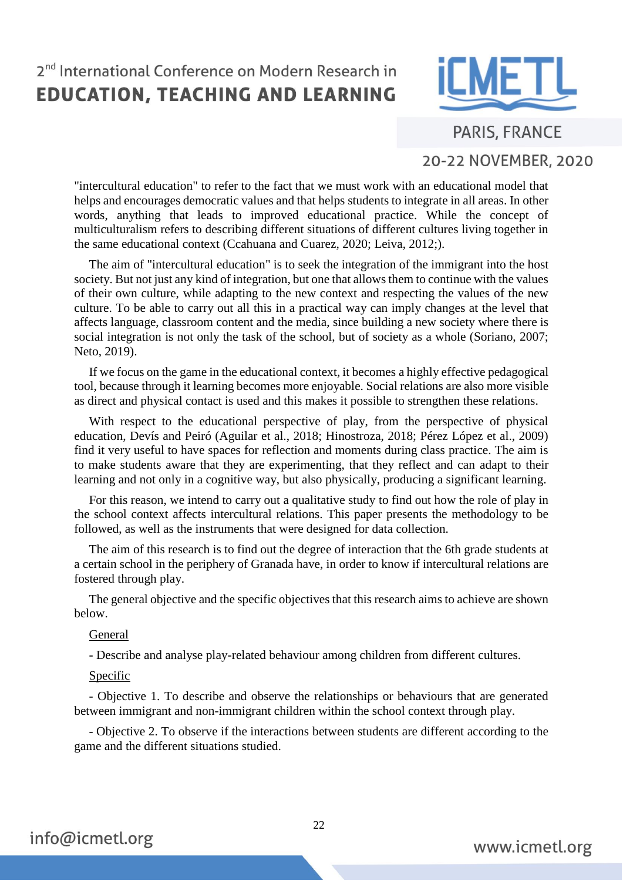

**PARIS, FRANCE** 

### 20-22 NOVEMBER, 2020

"intercultural education" to refer to the fact that we must work with an educational model that helps and encourages democratic values and that helps students to integrate in all areas. In other words, anything that leads to improved educational practice. While the concept of multiculturalism refers to describing different situations of different cultures living together in the same educational context (Ccahuana and Cuarez, 2020; Leiva, 2012;).

The aim of "intercultural education" is to seek the integration of the immigrant into the host society. But not just any kind of integration, but one that allows them to continue with the values of their own culture, while adapting to the new context and respecting the values of the new culture. To be able to carry out all this in a practical way can imply changes at the level that affects language, classroom content and the media, since building a new society where there is social integration is not only the task of the school, but of society as a whole (Soriano, 2007; Neto, 2019).

If we focus on the game in the educational context, it becomes a highly effective pedagogical tool, because through it learning becomes more enjoyable. Social relations are also more visible as direct and physical contact is used and this makes it possible to strengthen these relations.

With respect to the educational perspective of play, from the perspective of physical education, Devís and Peiró (Aguilar et al., 2018; Hinostroza, 2018; Pérez López et al., 2009) find it very useful to have spaces for reflection and moments during class practice. The aim is to make students aware that they are experimenting, that they reflect and can adapt to their learning and not only in a cognitive way, but also physically, producing a significant learning.

For this reason, we intend to carry out a qualitative study to find out how the role of play in the school context affects intercultural relations. This paper presents the methodology to be followed, as well as the instruments that were designed for data collection.

The aim of this research is to find out the degree of interaction that the 6th grade students at a certain school in the periphery of Granada have, in order to know if intercultural relations are fostered through play.

The general objective and the specific objectives that this research aims to achieve are shown below.

#### General

- Describe and analyse play-related behaviour among children from different cultures.

#### **Specific**

- Objective 1. To describe and observe the relationships or behaviours that are generated between immigrant and non-immigrant children within the school context through play.

- Objective 2. To observe if the interactions between students are different according to the game and the different situations studied.

22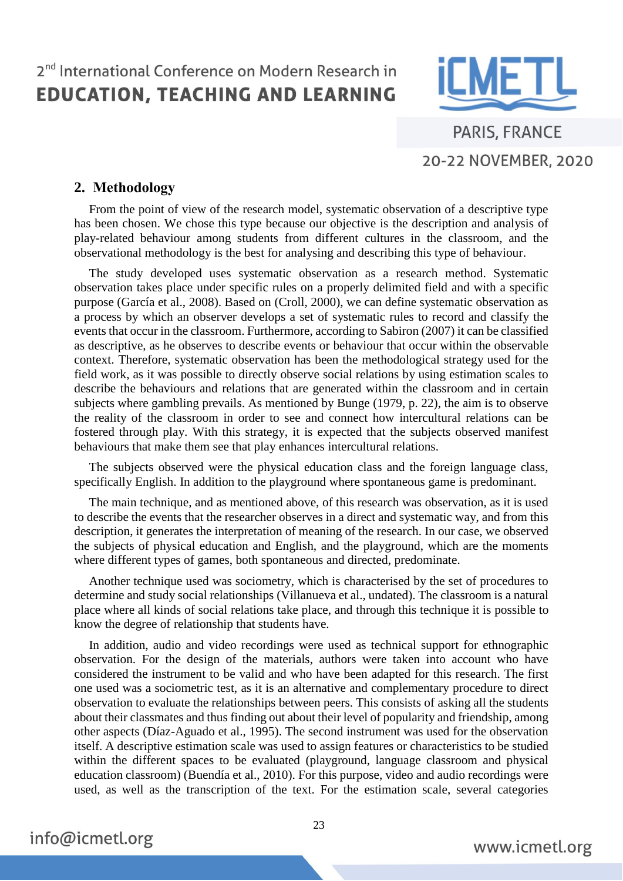

**PARIS, FRANCE** 20-22 NOVEMBER, 2020

#### **2. Methodology**

From the point of view of the research model, systematic observation of a descriptive type has been chosen. We chose this type because our objective is the description and analysis of play-related behaviour among students from different cultures in the classroom, and the observational methodology is the best for analysing and describing this type of behaviour.

The study developed uses systematic observation as a research method. Systematic observation takes place under specific rules on a properly delimited field and with a specific purpose (García et al., 2008). Based on (Croll, 2000), we can define systematic observation as a process by which an observer develops a set of systematic rules to record and classify the events that occur in the classroom. Furthermore, according to Sabiron (2007) it can be classified as descriptive, as he observes to describe events or behaviour that occur within the observable context. Therefore, systematic observation has been the methodological strategy used for the field work, as it was possible to directly observe social relations by using estimation scales to describe the behaviours and relations that are generated within the classroom and in certain subjects where gambling prevails. As mentioned by Bunge (1979, p. 22), the aim is to observe the reality of the classroom in order to see and connect how intercultural relations can be fostered through play. With this strategy, it is expected that the subjects observed manifest behaviours that make them see that play enhances intercultural relations.

The subjects observed were the physical education class and the foreign language class, specifically English. In addition to the playground where spontaneous game is predominant.

The main technique, and as mentioned above, of this research was observation, as it is used to describe the events that the researcher observes in a direct and systematic way, and from this description, it generates the interpretation of meaning of the research. In our case, we observed the subjects of physical education and English, and the playground, which are the moments where different types of games, both spontaneous and directed, predominate.

Another technique used was sociometry, which is characterised by the set of procedures to determine and study social relationships (Villanueva et al., undated). The classroom is a natural place where all kinds of social relations take place, and through this technique it is possible to know the degree of relationship that students have.

In addition, audio and video recordings were used as technical support for ethnographic observation. For the design of the materials, authors were taken into account who have considered the instrument to be valid and who have been adapted for this research. The first one used was a sociometric test, as it is an alternative and complementary procedure to direct observation to evaluate the relationships between peers. This consists of asking all the students about their classmates and thus finding out about their level of popularity and friendship, among other aspects (Díaz-Aguado et al., 1995). The second instrument was used for the observation itself. A descriptive estimation scale was used to assign features or characteristics to be studied within the different spaces to be evaluated (playground, language classroom and physical education classroom) (Buendía et al., 2010). For this purpose, video and audio recordings were used, as well as the transcription of the text. For the estimation scale, several categories

info@icmetl.org

23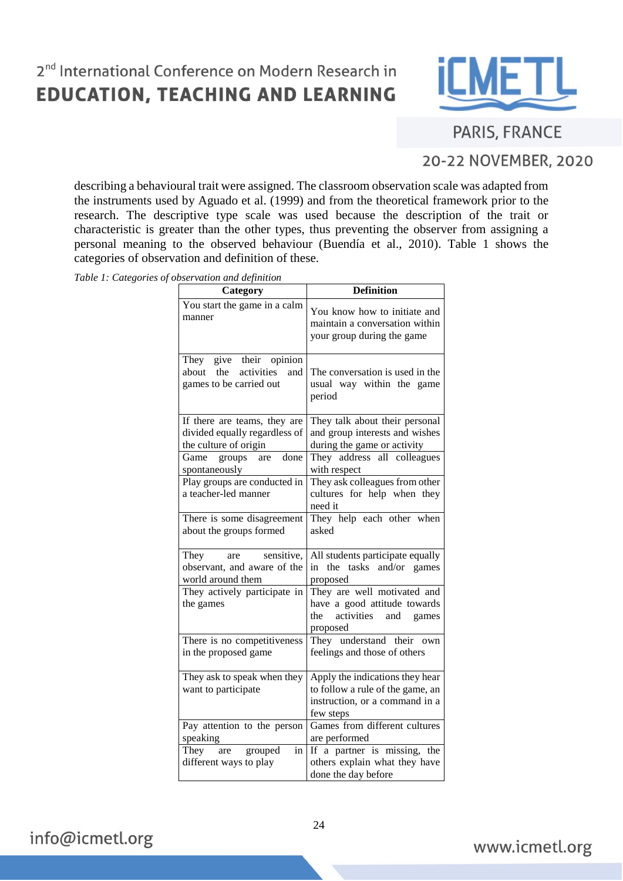

## **PARIS, FRANCE**

## 20-22 NOVEMBER, 2020

describing a behavioural trait were assigned. The classroom observation scale was adapted from the instruments used by Aguado et al. (1999) and from the theoretical framework prior to the research. The descriptive type scale was used because the description of the trait or characteristic is greater than the other types, thus preventing the observer from assigning a personal meaning to the observed behaviour (Buendía et al., 2010). Table 1 shows the categories of observation and definition of these.

*Table 1: Categories of observation and definition*

| oscr vanon ana acpinnon<br>Category                                                    | <b>Definition</b>                                                                                                  |
|----------------------------------------------------------------------------------------|--------------------------------------------------------------------------------------------------------------------|
| You start the game in a calm<br>manner                                                 | You know how to initiate and<br>maintain a conversation within<br>your group during the game                       |
| give their opinion<br>They<br>about the activities<br>and<br>games to be carried out   | The conversation is used in the<br>usual way within the game<br>period                                             |
| If there are teams, they are<br>divided equally regardless of<br>the culture of origin | They talk about their personal<br>and group interests and wishes<br>during the game or activity                    |
| done<br>Game<br>groups<br>are<br>spontaneously                                         | They address all colleagues<br>with respect                                                                        |
| Play groups are conducted in<br>a teacher-led manner                                   | They ask colleagues from other<br>cultures for help when they<br>need it                                           |
| There is some disagreement<br>about the groups formed                                  | They help each other when<br>asked                                                                                 |
| They<br>sensitive,<br>are<br>observant, and aware of the<br>world around them          | All students participate equally<br>tasks<br>in the<br>and/or games<br>proposed                                    |
| They actively participate in<br>the games                                              | They are well motivated and<br>have a good attitude towards<br>the<br>activities<br>and<br>games<br>proposed       |
| There is no competitiveness<br>in the proposed game                                    | They understand their own<br>feelings and those of others                                                          |
| They ask to speak when they<br>want to participate                                     | Apply the indications they hear<br>to follow a rule of the game, an<br>instruction, or a command in a<br>few steps |
| Pay attention to the person<br>speaking                                                | Games from different cultures<br>are performed                                                                     |
| They<br>grouped<br>in<br>are<br>different ways to play                                 | If a partner is missing, the<br>others explain what they have<br>done the day before                               |

info@icmetl.org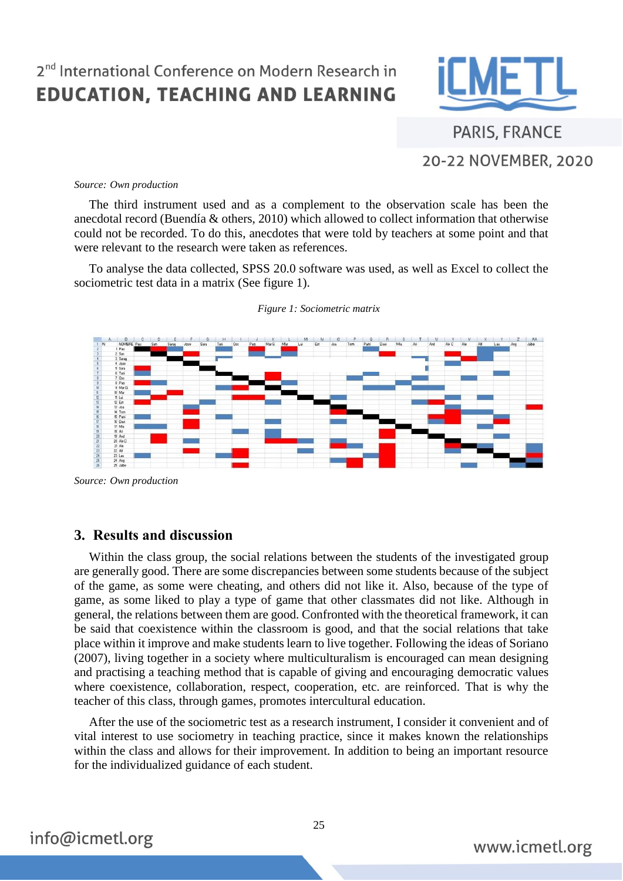

**PARIS, FRANCE** 20-22 NOVEMBER, 2020

#### *Source: Own production*

The third instrument used and as a complement to the observation scale has been the anecdotal record (Buendía & others, 2010) which allowed to collect information that otherwise could not be recorded. To do this, anecdotes that were told by teachers at some point and that were relevant to the research were taken as references.

To analyse the data collected, SPSS 20.0 software was used, as well as Excel to collect the sociometric test data in a matrix (See figure 1).



*Figure 1: Sociometric matrix* 

#### **3. Results and discussion**

Within the class group, the social relations between the students of the investigated group are generally good. There are some discrepancies between some students because of the subject of the game, as some were cheating, and others did not like it. Also, because of the type of game, as some liked to play a type of game that other classmates did not like. Although in general, the relations between them are good. Confronted with the theoretical framework, it can be said that coexistence within the classroom is good, and that the social relations that take place within it improve and make students learn to live together. Following the ideas of Soriano (2007), living together in a society where multiculturalism is encouraged can mean designing and practising a teaching method that is capable of giving and encouraging democratic values where coexistence, collaboration, respect, cooperation, etc. are reinforced. That is why the teacher of this class, through games, promotes intercultural education.

After the use of the sociometric test as a research instrument, I consider it convenient and of vital interest to use sociometry in teaching practice, since it makes known the relationships within the class and allows for their improvement. In addition to being an important resource for the individualized guidance of each student.

*Source: Own production*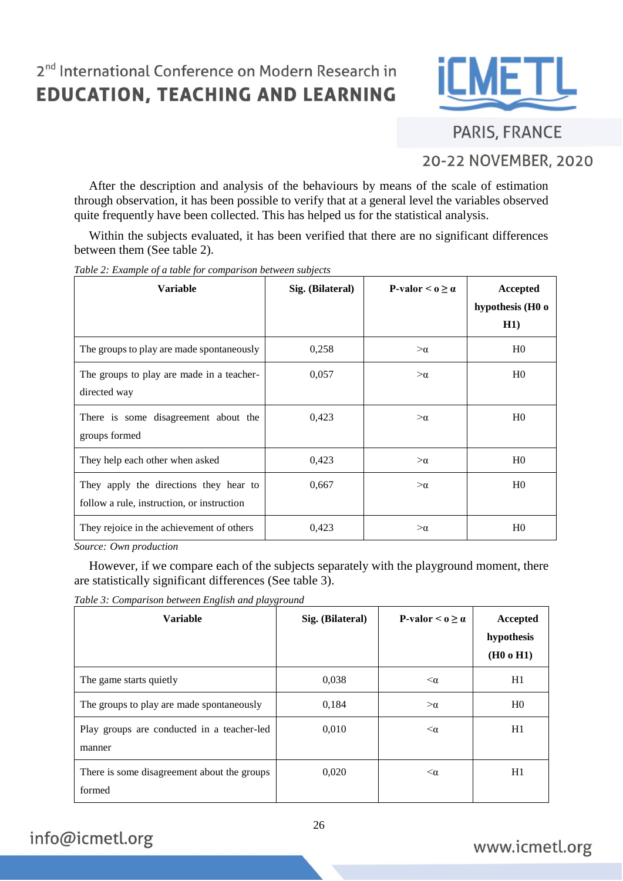

**PARIS, FRANCE** 

## 20-22 NOVEMBER, 2020

After the description and analysis of the behaviours by means of the scale of estimation through observation, it has been possible to verify that at a general level the variables observed quite frequently have been collected. This has helped us for the statistical analysis.

Within the subjects evaluated, it has been verified that there are no significant differences between them (See table 2).

| <b>Variable</b>                                                                      | Sig. (Bilateral) | P-valor $\leq$ 0 $>$ $\alpha$ | Accepted<br>hypothesis (H0 o<br>H1) |
|--------------------------------------------------------------------------------------|------------------|-------------------------------|-------------------------------------|
| The groups to play are made spontaneously                                            | 0,258            | $>\alpha$                     | H <sub>0</sub>                      |
| The groups to play are made in a teacher-<br>directed way                            | 0,057            | $>\alpha$                     | H <sub>0</sub>                      |
| There is some disagreement about the<br>groups formed                                | 0,423            | $>\alpha$                     | H <sub>0</sub>                      |
| They help each other when asked                                                      | 0,423            | $>\alpha$                     | H <sub>0</sub>                      |
| They apply the directions they hear to<br>follow a rule, instruction, or instruction | 0,667            | $>\alpha$                     | H <sub>0</sub>                      |
| They rejoice in the achievement of others                                            | 0,423            | $>\alpha$                     | H <sub>0</sub>                      |

*Table 2: Example of a table for comparison between subjects*

*Source: Own production*

However, if we compare each of the subjects separately with the playground moment, there are statistically significant differences (See table 3).

*Table 3: Comparison between English and playground*

| <b>Variable</b>                                       | Sig. (Bilateral) | P-valor $\leq$ 0 $\geq$ $\alpha$ | Accepted<br>hypothesis<br>(H0 o H1) |
|-------------------------------------------------------|------------------|----------------------------------|-------------------------------------|
| The game starts quietly                               | 0,038            | $<\alpha$                        | H1                                  |
| The groups to play are made spontaneously             | 0,184            | $>\alpha$                        | H <sub>0</sub>                      |
| Play groups are conducted in a teacher-led<br>manner  | 0,010            | $<\alpha$                        | H1                                  |
| There is some disagreement about the groups<br>formed | 0,020            | $<\alpha$                        | H1                                  |

info@icmetl.org

26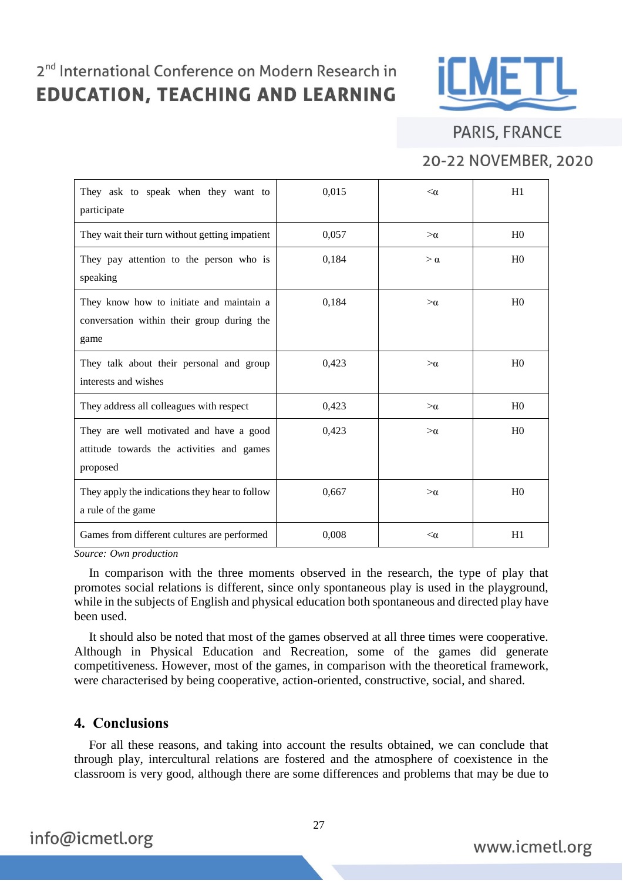

## **PARIS, FRANCE**

## 20-22 NOVEMBER, 2020

| They ask to speak when they want to<br>participate                                               | 0,015 | $<\alpha$ | H1             |
|--------------------------------------------------------------------------------------------------|-------|-----------|----------------|
| They wait their turn without getting impatient                                                   | 0,057 | $>\alpha$ | H <sub>0</sub> |
| They pay attention to the person who is<br>speaking                                              | 0,184 | $>\alpha$ | H <sub>0</sub> |
| They know how to initiate and maintain a<br>conversation within their group during the<br>game   | 0,184 | $>\alpha$ | H <sub>0</sub> |
| They talk about their personal and group<br>interests and wishes                                 | 0,423 | $>\alpha$ | H <sub>0</sub> |
| They address all colleagues with respect                                                         | 0,423 | $>\alpha$ | H <sub>0</sub> |
| They are well motivated and have a good<br>attitude towards the activities and games<br>proposed | 0,423 | $>\alpha$ | H <sub>0</sub> |
| They apply the indications they hear to follow<br>a rule of the game                             | 0,667 | $>\alpha$ | H <sub>0</sub> |
| Games from different cultures are performed                                                      | 0,008 | $<\alpha$ | H1             |

*Source: Own production*

In comparison with the three moments observed in the research, the type of play that promotes social relations is different, since only spontaneous play is used in the playground, while in the subjects of English and physical education both spontaneous and directed play have been used.

It should also be noted that most of the games observed at all three times were cooperative. Although in Physical Education and Recreation, some of the games did generate competitiveness. However, most of the games, in comparison with the theoretical framework, were characterised by being cooperative, action-oriented, constructive, social, and shared.

### **4. Conclusions**

For all these reasons, and taking into account the results obtained, we can conclude that through play, intercultural relations are fostered and the atmosphere of coexistence in the classroom is very good, although there are some differences and problems that may be due to

info@icmetl.org